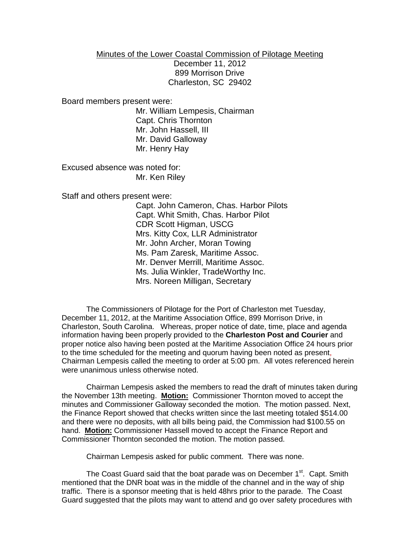## Minutes of the Lower Coastal Commission of Pilotage Meeting

December 11, 2012 899 Morrison Drive Charleston, SC 29402

Board members present were:

Mr. William Lempesis, Chairman Capt. Chris Thornton Mr. John Hassell, III Mr. David Galloway Mr. Henry Hay

Excused absence was noted for: Mr. Ken Riley

Staff and others present were:

Capt. John Cameron, Chas. Harbor Pilots Capt. Whit Smith, Chas. Harbor Pilot CDR Scott Higman, USCG Mrs. Kitty Cox, LLR Administrator Mr. John Archer, Moran Towing Ms. Pam Zaresk, Maritime Assoc. Mr. Denver Merrill, Maritime Assoc. Ms. Julia Winkler, TradeWorthy Inc. Mrs. Noreen Milligan, Secretary

The Commissioners of Pilotage for the Port of Charleston met Tuesday, December 11, 2012, at the Maritime Association Office, 899 Morrison Drive, in Charleston, South Carolina. Whereas, proper notice of date, time, place and agenda information having been properly provided to the **Charleston Post and Courier** and proper notice also having been posted at the Maritime Association Office 24 hours prior to the time scheduled for the meeting and quorum having been noted as present, Chairman Lempesis called the meeting to order at 5:00 pm. All votes referenced herein were unanimous unless otherwise noted.

Chairman Lempesis asked the members to read the draft of minutes taken during the November 13th meeting. **Motion:** Commissioner Thornton moved to accept the minutes and Commissioner Galloway seconded the motion. The motion passed. Next, the Finance Report showed that checks written since the last meeting totaled \$514.00 and there were no deposits, with all bills being paid, the Commission had \$100.55 on hand. **Motion:** Commissioner Hassell moved to accept the Finance Report and Commissioner Thornton seconded the motion. The motion passed.

Chairman Lempesis asked for public comment. There was none.

The Coast Guard said that the boat parade was on December 1<sup>st</sup>. Capt. Smith mentioned that the DNR boat was in the middle of the channel and in the way of ship traffic. There is a sponsor meeting that is held 48hrs prior to the parade. The Coast Guard suggested that the pilots may want to attend and go over safety procedures with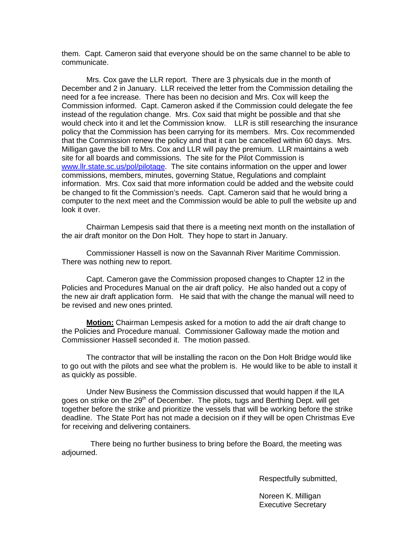them. Capt. Cameron said that everyone should be on the same channel to be able to communicate.

Mrs. Cox gave the LLR report. There are 3 physicals due in the month of December and 2 in January. LLR received the letter from the Commission detailing the need for a fee increase. There has been no decision and Mrs. Cox will keep the Commission informed. Capt. Cameron asked if the Commission could delegate the fee instead of the regulation change. Mrs. Cox said that might be possible and that she would check into it and let the Commission know. LLR is still researching the insurance policy that the Commission has been carrying for its members. Mrs. Cox recommended that the Commission renew the policy and that it can be cancelled within 60 days. Mrs. Milligan gave the bill to Mrs. Cox and LLR will pay the premium. LLR maintains a web site for all boards and commissions. The site for the Pilot Commission is [www.llr.state.sc.us/pol/pilotage.](http://www.llr.state.sc.us/pol/pilotage) The site contains information on the upper and lower commissions, members, minutes, governing Statue, Regulations and complaint information. Mrs. Cox said that more information could be added and the website could be changed to fit the Commission's needs. Capt. Cameron said that he would bring a computer to the next meet and the Commission would be able to pull the website up and look it over.

Chairman Lempesis said that there is a meeting next month on the installation of the air draft monitor on the Don Holt. They hope to start in January.

Commissioner Hassell is now on the Savannah River Maritime Commission. There was nothing new to report.

Capt. Cameron gave the Commission proposed changes to Chapter 12 in the Policies and Procedures Manual on the air draft policy. He also handed out a copy of the new air draft application form. He said that with the change the manual will need to be revised and new ones printed.

**Motion:** Chairman Lempesis asked for a motion to add the air draft change to the Policies and Procedure manual.Commissioner Galloway made the motion and Commissioner Hassell seconded it. The motion passed.

The contractor that will be installing the racon on the Don Holt Bridge would like to go out with the pilots and see what the problem is. He would like to be able to install it as quickly as possible.

Under New Business the Commission discussed that would happen if the ILA goes on strike on the 29<sup>th</sup> of December. The pilots, tugs and Berthing Dept. will get together before the strike and prioritize the vessels that will be working before the strike deadline. The State Port has not made a decision on if they will be open Christmas Eve for receiving and delivering containers.

There being no further business to bring before the Board, the meeting was adjourned.

Respectfully submitted,

Noreen K. Milligan Executive Secretary